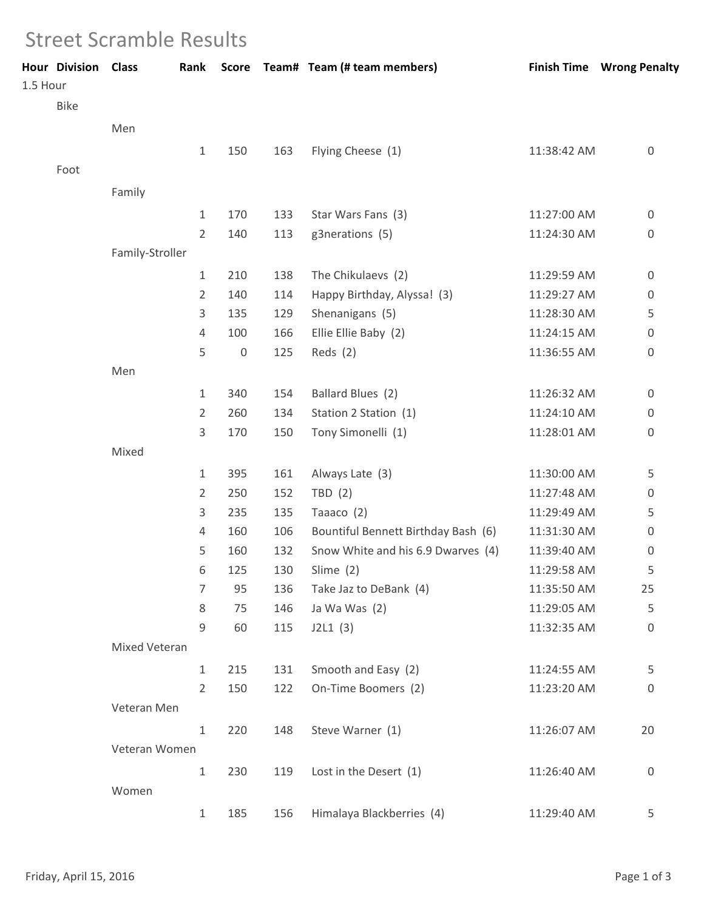## Street Scramble Results

| 1.5 Hour | <b>Hour Division Class</b> |                 | Rank           |             |     | Score Team# Team (# team members)   |             | <b>Finish Time Wrong Penalty</b> |
|----------|----------------------------|-----------------|----------------|-------------|-----|-------------------------------------|-------------|----------------------------------|
|          | Bike                       |                 |                |             |     |                                     |             |                                  |
|          |                            | Men             |                |             |     |                                     |             |                                  |
|          |                            |                 | $\mathbf{1}$   | 150         | 163 | Flying Cheese (1)                   | 11:38:42 AM | $\mathbf 0$                      |
|          | Foot                       |                 |                |             |     |                                     |             |                                  |
|          |                            | Family          |                |             |     |                                     |             |                                  |
|          |                            |                 | $\mathbf{1}$   | 170         | 133 | Star Wars Fans (3)                  | 11:27:00 AM | $\boldsymbol{0}$                 |
|          |                            |                 | $\overline{2}$ | 140         | 113 | g3nerations (5)                     | 11:24:30 AM | 0                                |
|          |                            | Family-Stroller |                |             |     |                                     |             |                                  |
|          |                            |                 | 1              | 210         | 138 | The Chikulaevs (2)                  | 11:29:59 AM | $\boldsymbol{0}$                 |
|          |                            |                 | 2              | 140         | 114 | Happy Birthday, Alyssa! (3)         | 11:29:27 AM | 0                                |
|          |                            |                 | 3              | 135         | 129 | Shenanigans (5)                     | 11:28:30 AM | 5                                |
|          |                            |                 | 4              | 100         | 166 | Ellie Ellie Baby (2)                | 11:24:15 AM | $\boldsymbol{0}$                 |
|          |                            |                 | 5              | $\mathbf 0$ | 125 | Reds $(2)$                          | 11:36:55 AM | $\boldsymbol{0}$                 |
|          |                            | Men             |                |             |     |                                     |             |                                  |
|          |                            |                 | $\mathbf{1}$   | 340         | 154 | Ballard Blues (2)                   | 11:26:32 AM | $\mathbf 0$                      |
|          |                            |                 | 2              | 260         | 134 | Station 2 Station (1)               | 11:24:10 AM | $\boldsymbol{0}$                 |
|          |                            |                 | 3              | 170         | 150 | Tony Simonelli (1)                  | 11:28:01 AM | $\mathbf 0$                      |
|          |                            | Mixed           |                |             |     |                                     |             |                                  |
|          |                            |                 | 1              | 395         | 161 | Always Late (3)                     | 11:30:00 AM | 5                                |
|          |                            |                 | 2              | 250         | 152 | TBD(2)                              | 11:27:48 AM | 0                                |
|          |                            |                 | 3              | 235         | 135 | Taaaco (2)                          | 11:29:49 AM | 5                                |
|          |                            |                 | 4              | 160         | 106 | Bountiful Bennett Birthday Bash (6) | 11:31:30 AM | $\boldsymbol{0}$                 |
|          |                            |                 | 5              | 160         | 132 | Snow White and his 6.9 Dwarves (4)  | 11:39:40 AM | 0                                |
|          |                            |                 | 6              | 125         | 130 | Slime (2)                           | 11:29:58 AM | 5                                |
|          |                            |                 | 7              | 95          | 136 | Take Jaz to DeBank (4)              | 11:35:50 AM | 25                               |
|          |                            |                 | 8              | 75          | 146 | Ja Wa Was (2)                       | 11:29:05 AM | 5                                |
|          |                            |                 | 9              | 60          | 115 | J2L1(3)                             | 11:32:35 AM | $\boldsymbol{0}$                 |
|          |                            | Mixed Veteran   |                |             |     |                                     |             |                                  |
|          |                            |                 | $\mathbf{1}$   | 215         | 131 | Smooth and Easy (2)                 | 11:24:55 AM | 5                                |
|          |                            |                 | $\overline{2}$ | 150         | 122 | On-Time Boomers (2)                 | 11:23:20 AM | 0                                |
|          |                            | Veteran Men     |                |             |     |                                     |             |                                  |
|          |                            |                 | $\mathbf{1}$   | 220         | 148 | Steve Warner (1)                    | 11:26:07 AM | 20                               |
|          |                            | Veteran Women   |                |             |     |                                     |             |                                  |
|          |                            |                 | $\mathbf{1}$   | 230         | 119 | Lost in the Desert (1)              | 11:26:40 AM | 0                                |
|          |                            |                 |                |             |     |                                     |             |                                  |
|          |                            | Women           |                |             |     |                                     |             |                                  |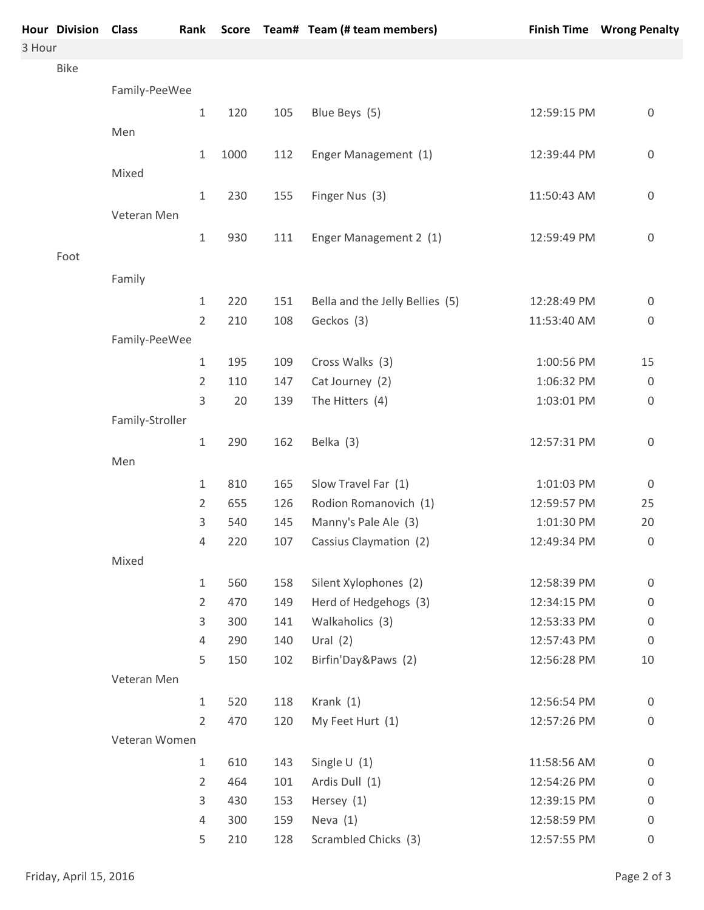|        | <b>Hour Division Class</b> |                 | Rank           |      |     | Score Team# Team (# team members) |             | <b>Finish Time Wrong Penalty</b> |
|--------|----------------------------|-----------------|----------------|------|-----|-----------------------------------|-------------|----------------------------------|
| 3 Hour |                            |                 |                |      |     |                                   |             |                                  |
|        | Bike                       |                 |                |      |     |                                   |             |                                  |
|        |                            | Family-PeeWee   |                |      |     |                                   |             |                                  |
|        |                            |                 | 1              | 120  | 105 | Blue Beys (5)                     | 12:59:15 PM | 0                                |
|        |                            | Men             |                |      |     |                                   |             |                                  |
|        |                            |                 | 1              | 1000 | 112 | Enger Management (1)              | 12:39:44 PM | 0                                |
|        |                            | Mixed           |                |      |     |                                   |             |                                  |
|        |                            |                 | $\mathbf 1$    | 230  | 155 | Finger Nus (3)                    | 11:50:43 AM | $\boldsymbol{0}$                 |
|        |                            | Veteran Men     |                |      |     |                                   |             |                                  |
|        |                            |                 | $\mathbf 1$    | 930  | 111 | Enger Management 2 (1)            | 12:59:49 PM | $\boldsymbol{0}$                 |
|        | Foot                       |                 |                |      |     |                                   |             |                                  |
|        |                            | Family          |                |      |     |                                   |             |                                  |
|        |                            |                 | $\mathbf 1$    | 220  | 151 | Bella and the Jelly Bellies (5)   | 12:28:49 PM | $\boldsymbol{0}$                 |
|        |                            |                 | $\overline{2}$ | 210  | 108 | Geckos (3)                        | 11:53:40 AM | $\boldsymbol{0}$                 |
|        |                            | Family-PeeWee   |                |      |     |                                   |             |                                  |
|        |                            |                 | 1              | 195  | 109 | Cross Walks (3)                   | 1:00:56 PM  | 15                               |
|        |                            |                 | 2              | 110  | 147 | Cat Journey (2)                   | 1:06:32 PM  | $\boldsymbol{0}$                 |
|        |                            |                 | 3              | 20   | 139 | The Hitters (4)                   | 1:03:01 PM  | 0                                |
|        |                            | Family-Stroller |                |      |     |                                   |             |                                  |
|        |                            |                 | $\mathbf 1$    | 290  | 162 | Belka (3)                         | 12:57:31 PM | 0                                |
|        |                            | Men             |                |      |     |                                   |             |                                  |
|        |                            |                 | $\mathbf{1}$   | 810  | 165 | Slow Travel Far (1)               | 1:01:03 PM  | $\boldsymbol{0}$                 |
|        |                            |                 | 2              | 655  | 126 | Rodion Romanovich (1)             | 12:59:57 PM | 25                               |
|        |                            |                 | 3              | 540  | 145 | Manny's Pale Ale (3)              | 1:01:30 PM  | 20                               |
|        |                            |                 | $\sqrt{4}$     | 220  | 107 | Cassius Claymation (2)            | 12:49:34 PM | 0                                |
|        |                            | Mixed           |                |      |     |                                   |             |                                  |
|        |                            |                 | $\mathbf{1}$   | 560  | 158 | Silent Xylophones (2)             | 12:58:39 PM | $\boldsymbol{0}$                 |
|        |                            |                 | $\overline{2}$ | 470  | 149 | Herd of Hedgehogs (3)             | 12:34:15 PM | 0                                |
|        |                            |                 | 3              | 300  | 141 | Walkaholics (3)                   | 12:53:33 PM | 0                                |
|        |                            |                 | 4              | 290  | 140 | Ural $(2)$                        | 12:57:43 PM | $\boldsymbol{0}$                 |
|        |                            |                 | 5              | 150  | 102 | Birfin'Day&Paws (2)               | 12:56:28 PM | 10                               |
|        |                            | Veteran Men     |                |      |     |                                   |             |                                  |
|        |                            |                 | $\mathbf{1}$   | 520  | 118 | Krank $(1)$                       | 12:56:54 PM | 0                                |
|        |                            |                 | $\overline{2}$ | 470  | 120 | My Feet Hurt (1)                  | 12:57:26 PM | $\boldsymbol{0}$                 |
|        |                            | Veteran Women   |                |      |     |                                   |             |                                  |
|        |                            |                 | $\mathbf{1}$   | 610  | 143 | Single $U(1)$                     | 11:58:56 AM | 0                                |
|        |                            |                 | 2              | 464  | 101 | Ardis Dull (1)                    | 12:54:26 PM | 0                                |
|        |                            |                 | 3              | 430  | 153 | Hersey (1)                        | 12:39:15 PM | 0                                |
|        |                            |                 | 4              | 300  | 159 | Neva $(1)$                        | 12:58:59 PM | 0                                |
|        |                            |                 | 5              | 210  | 128 | Scrambled Chicks (3)              | 12:57:55 PM | $\boldsymbol{0}$                 |